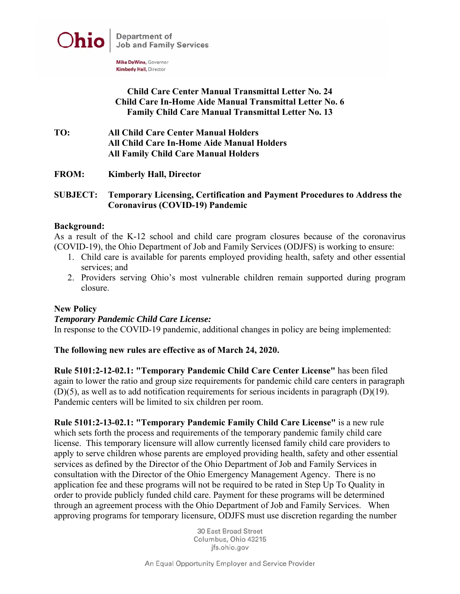

Mike DeWine, Governor **Kimberly Hall, Director** 

# **Child Care Center Manual Transmittal Letter No. 24 Child Care In-Home Aide Manual Transmittal Letter No. 6 Family Child Care Manual Transmittal Letter No. 13**

- **TO: All Child Care Center Manual Holders All Child Care In-Home Aide Manual Holders All Family Child Care Manual Holders**
- **FROM: Kimberly Hall, Director**

## **SUBJECT: Temporary Licensing, Certification and Payment Procedures to Address the Coronavirus (COVID-19) Pandemic**

### **Background:**

As a result of the K-12 school and child care program closures because of the coronavirus (COVID-19), the Ohio Department of Job and Family Services (ODJFS) is working to ensure:

- 1. Child care is available for parents employed providing health, safety and other essential services; and
- 2. Providers serving Ohio's most vulnerable children remain supported during program closure.

# **New Policy**

### *Temporary Pandemic Child Care License:*

In response to the COVID-19 pandemic, additional changes in policy are being implemented:

### **The following new rules are effective as of March 24, 2020.**

**Rule 5101:2-12-02.1: "Temporary Pandemic Child Care Center License"** has been filed again to lower the ratio and group size requirements for pandemic child care centers in paragraph (D)(5), as well as to add notification requirements for serious incidents in paragraph (D)(19). Pandemic centers will be limited to six children per room.

**Rule 5101:2-13-02.1: "Temporary Pandemic Family Child Care License"** is a new rule which sets forth the process and requirements of the temporary pandemic family child care license. This temporary licensure will allow currently licensed family child care providers to apply to serve children whose parents are employed providing health, safety and other essential services as defined by the Director of the Ohio Department of Job and Family Services in consultation with the Director of the Ohio Emergency Management Agency. There is no application fee and these programs will not be required to be rated in Step Up To Quality in order to provide publicly funded child care. Payment for these programs will be determined through an agreement process with the Ohio Department of Job and Family Services. When approving programs for temporary licensure, ODJFS must use discretion regarding the number

> 30 East Broad Street Columbus, Ohio 43215 jfs.ohio.gov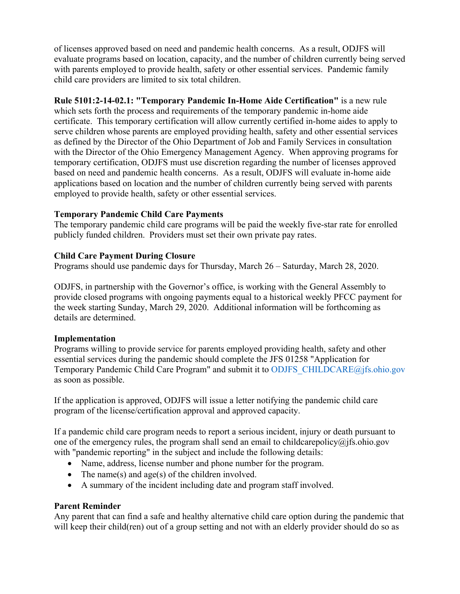of licenses approved based on need and pandemic health concerns. As a result, ODJFS will evaluate programs based on location, capacity, and the number of children currently being served with parents employed to provide health, safety or other essential services. Pandemic family child care providers are limited to six total children.

**Rule 5101:2-14-02.1: "Temporary Pandemic In-Home Aide Certification"** is a new rule which sets forth the process and requirements of the temporary pandemic in-home aide certificate. This temporary certification will allow currently certified in-home aides to apply to serve children whose parents are employed providing health, safety and other essential services as defined by the Director of the Ohio Department of Job and Family Services in consultation with the Director of the Ohio Emergency Management Agency. When approving programs for temporary certification, ODJFS must use discretion regarding the number of licenses approved based on need and pandemic health concerns. As a result, ODJFS will evaluate in-home aide applications based on location and the number of children currently being served with parents employed to provide health, safety or other essential services.

# **Temporary Pandemic Child Care Payments**

The temporary pandemic child care programs will be paid the weekly five-star rate for enrolled publicly funded children. Providers must set their own private pay rates.

# **Child Care Payment During Closure**

Programs should use pandemic days for Thursday, March 26 – Saturday, March 28, 2020.

ODJFS, in partnership with the Governor's office, is working with the General Assembly to provide closed programs with ongoing payments equal to a historical weekly PFCC payment for the week starting Sunday, March 29, 2020. Additional information will be forthcoming as details are determined.

# **Implementation**

Programs willing to provide service for parents employed providing health, safety and other essential services during the pandemic should complete the JFS 01258 "Application for Temporary Pandemic Child Care Program" and submit it to ODJFS\_CHILDCARE@jfs.ohio.gov as soon as possible.

If the application is approved, ODJFS will issue a letter notifying the pandemic child care program of the license/certification approval and approved capacity.

If a pandemic child care program needs to report a serious incident, injury or death pursuant to one of the emergency rules, the program shall send an email to childcarepolicy $\omega$  ifs. ohio.gov with "pandemic reporting" in the subject and include the following details:

- Name, address, license number and phone number for the program.
- The name(s) and age(s) of the children involved.
- A summary of the incident including date and program staff involved.

# **Parent Reminder**

Any parent that can find a safe and healthy alternative child care option during the pandemic that will keep their child(ren) out of a group setting and not with an elderly provider should do so as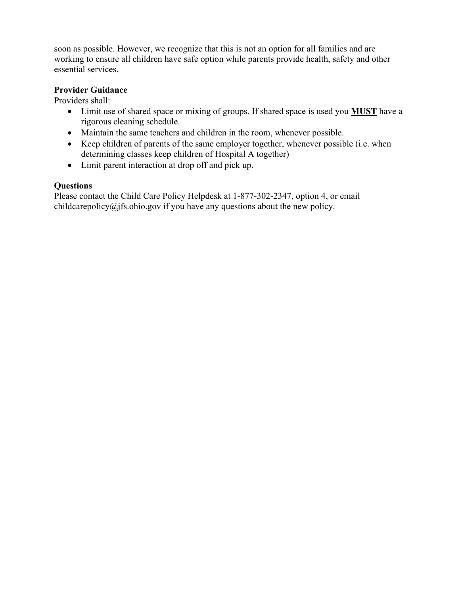soon as possible. However, we recognize that this is not an option for all families and are working to ensure all children have safe option while parents provide health, safety and other essential services.

# **Provider Guidance**

Providers shall:

- Limit use of shared space or mixing of groups. If shared space is used you **MUST** have a rigorous cleaning schedule.
- Maintain the same teachers and children in the room, whenever possible.
- Keep children of parents of the same employer together, whenever possible (i.e. when determining classes keep children of Hospital A together)
- Limit parent interaction at drop off and pick up.

# **Questions**

Please contact the Child Care Policy Helpdesk at 1-877-302-2347, option 4, or email childcarepolicy@jfs.ohio.gov if you have any questions about the new policy.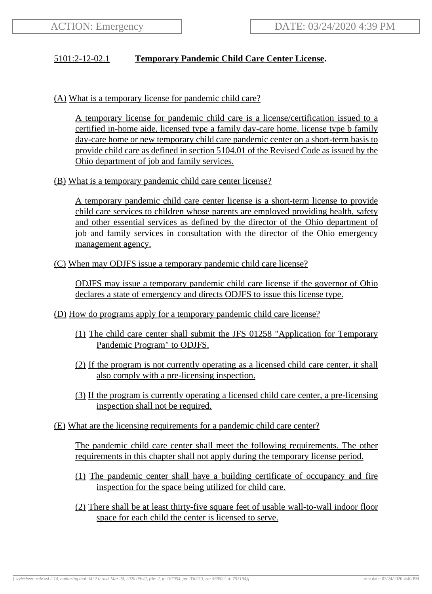# 5101:2-12-02.1 **Temporary Pandemic Child Care Center License.**

(A) What is a temporary license for pandemic child care?

A temporary license for pandemic child care is a license/certification issued to a certified in-home aide, licensed type a family day-care home, license type b family day-care home or new temporary child care pandemic center on a short-term basis to provide child care as defined in section 5104.01 of the Revised Code as issued by the Ohio department of job and family services.

(B) What is a temporary pandemic child care center license?

A temporary pandemic child care center license is a short-term license to provide child care services to children whose parents are employed providing health, safety and other essential services as defined by the director of the Ohio department of job and family services in consultation with the director of the Ohio emergency management agency.

(C) When may ODJFS issue a temporary pandemic child care license?

ODJFS may issue a temporary pandemic child care license if the governor of Ohio declares a state of emergency and directs ODJFS to issue this license type.

- (D) How do programs apply for a temporary pandemic child care license?
	- (1) The child care center shall submit the JFS 01258 "Application for Temporary Pandemic Program" to ODJFS.
	- (2) If the program is not currently operating as a licensed child care center, it shall also comply with a pre-licensing inspection.
	- (3) If the program is currently operating a licensed child care center, a pre-licensing inspection shall not be required.
- (E) What are the licensing requirements for a pandemic child care center?

The pandemic child care center shall meet the following requirements. The other requirements in this chapter shall not apply during the temporary license period.

- (1) The pandemic center shall have a building certificate of occupancy and fire inspection for the space being utilized for child care.
- (2) There shall be at least thirty-five square feet of usable wall-to-wall indoor floor space for each child the center is licensed to serve.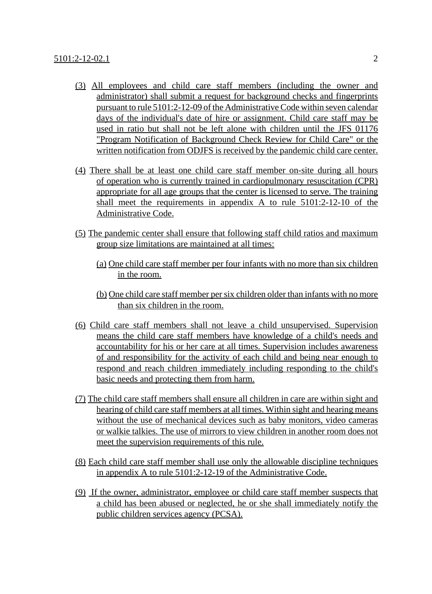- (3) All employees and child care staff members (including the owner and administrator) shall submit a request for background checks and fingerprints pursuant to rule 5101:2-12-09 of the Administrative Code within seven calendar days of the individual's date of hire or assignment. Child care staff may be used in ratio but shall not be left alone with children until the JFS 01176 "Program Notification of Background Check Review for Child Care" or the written notification from ODJFS is received by the pandemic child care center.
- (4) There shall be at least one child care staff member on-site during all hours of operation who is currently trained in cardiopulmonary resuscitation (CPR) appropriate for all age groups that the center is licensed to serve. The training shall meet the requirements in appendix A to rule 5101:2-12-10 of the Administrative Code.
- (5) The pandemic center shall ensure that following staff child ratios and maximum group size limitations are maintained at all times:
	- (a) One child care staff member per four infants with no more than six children in the room.
	- (b) One child care staff member per six children older than infants with no more than six children in the room.
- (6) Child care staff members shall not leave a child unsupervised. Supervision means the child care staff members have knowledge of a child's needs and accountability for his or her care at all times. Supervision includes awareness of and responsibility for the activity of each child and being near enough to respond and reach children immediately including responding to the child's basic needs and protecting them from harm.
- (7) The child care staff members shall ensure all children in care are within sight and hearing of child care staff members at all times. Within sight and hearing means without the use of mechanical devices such as baby monitors, video cameras or walkie talkies. The use of mirrors to view children in another room does not meet the supervision requirements of this rule.
- (8) Each child care staff member shall use only the allowable discipline techniques in appendix A to rule 5101:2-12-19 of the Administrative Code.
- (9) If the owner, administrator, employee or child care staff member suspects that a child has been abused or neglected, he or she shall immediately notify the public children services agency (PCSA).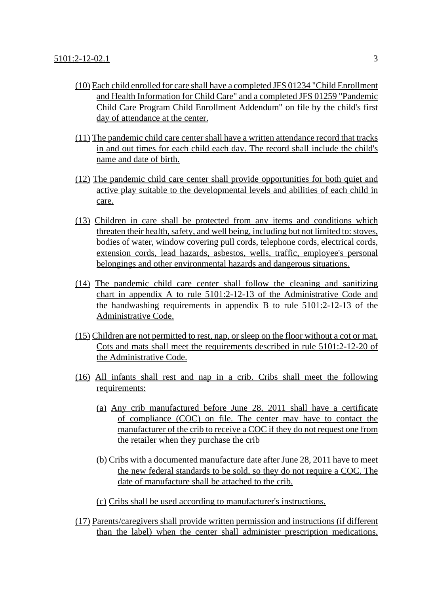- (10) Each child enrolled for care shall have a completed JFS 01234 "Child Enrollment and Health Information for Child Care" and a completed JFS 01259 "Pandemic Child Care Program Child Enrollment Addendum" on file by the child's first day of attendance at the center.
- (11) The pandemic child care center shall have a written attendance record that tracks in and out times for each child each day. The record shall include the child's name and date of birth.
- (12) The pandemic child care center shall provide opportunities for both quiet and active play suitable to the developmental levels and abilities of each child in care.
- (13) Children in care shall be protected from any items and conditions which threaten their health, safety, and well being, including but not limited to: stoves, bodies of water, window covering pull cords, telephone cords, electrical cords, extension cords, lead hazards, asbestos, wells, traffic, employee's personal belongings and other environmental hazards and dangerous situations.
- (14) The pandemic child care center shall follow the cleaning and sanitizing chart in appendix A to rule 5101:2-12-13 of the Administrative Code and the handwashing requirements in appendix B to rule 5101:2-12-13 of the Administrative Code.
- (15) Children are not permitted to rest, nap, or sleep on the floor without a cot or mat. Cots and mats shall meet the requirements described in rule 5101:2-12-20 of the Administrative Code.
- (16) All infants shall rest and nap in a crib. Cribs shall meet the following requirements:
	- (a) Any crib manufactured before June 28, 2011 shall have a certificate of compliance (COC) on file. The center may have to contact the manufacturer of the crib to receive a COC if they do not request one from the retailer when they purchase the crib
	- (b) Cribs with a documented manufacture date after June 28, 2011 have to meet the new federal standards to be sold, so they do not require a COC. The date of manufacture shall be attached to the crib.
	- (c) Cribs shall be used according to manufacturer's instructions.
- (17) Parents/caregivers shall provide written permission and instructions (if different than the label) when the center shall administer prescription medications,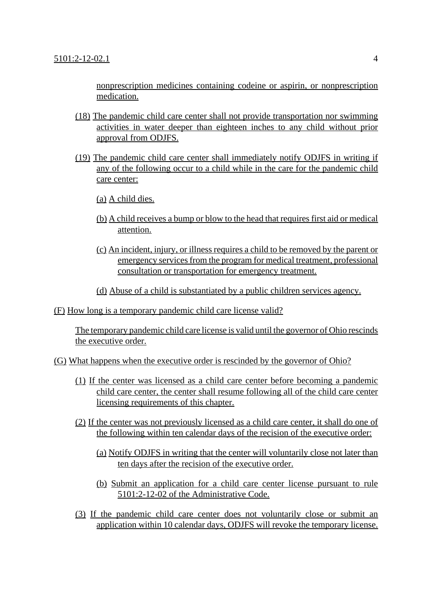nonprescription medicines containing codeine or aspirin, or nonprescription medication.

- (18) The pandemic child care center shall not provide transportation nor swimming activities in water deeper than eighteen inches to any child without prior approval from ODJFS.
- (19) The pandemic child care center shall immediately notify ODJFS in writing if any of the following occur to a child while in the care for the pandemic child care center:
	- (a) A child dies.
	- (b) A child receives a bump or blow to the head that requires first aid or medical attention.
	- (c) An incident, injury, or illness requires a child to be removed by the parent or emergency services from the program for medical treatment, professional consultation or transportation for emergency treatment.
	- (d) Abuse of a child is substantiated by a public children services agency.

(F) How long is a temporary pandemic child care license valid?

The temporary pandemic child care license is valid until the governor of Ohio rescinds the executive order.

(G) What happens when the executive order is rescinded by the governor of Ohio?

- (1) If the center was licensed as a child care center before becoming a pandemic child care center, the center shall resume following all of the child care center licensing requirements of this chapter.
- (2) If the center was not previously licensed as a child care center, it shall do one of the following within ten calendar days of the recision of the executive order:
	- (a) Notify ODJFS in writing that the center will voluntarily close not later than ten days after the recision of the executive order.
	- (b) Submit an application for a child care center license pursuant to rule 5101:2-12-02 of the Administrative Code.
- (3) If the pandemic child care center does not voluntarily close or submit an application within 10 calendar days, ODJFS will revoke the temporary license.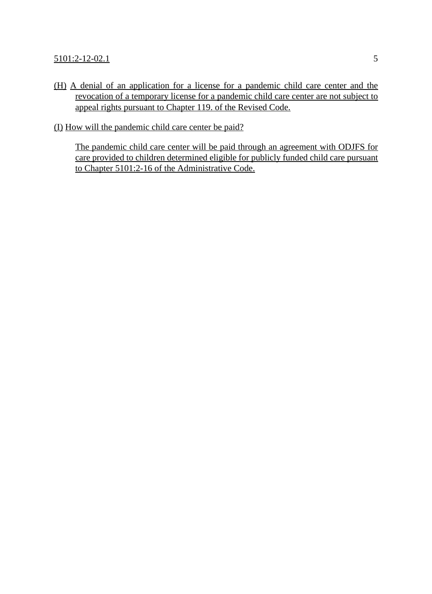(H) A denial of an application for a license for a pandemic child care center and the revocation of a temporary license for a pandemic child care center are not subject to appeal rights pursuant to Chapter 119. of the Revised Code.

(I) How will the pandemic child care center be paid?

The pandemic child care center will be paid through an agreement with ODJFS for care provided to children determined eligible for publicly funded child care pursuant to Chapter 5101:2-16 of the Administrative Code.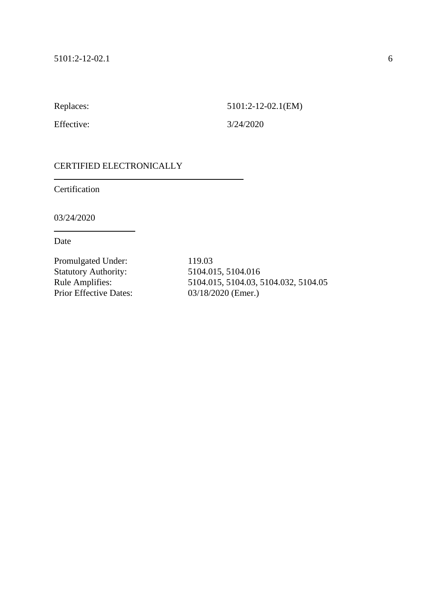Replaces: 5101:2-12-02.1(EM)

Effective: 3/24/2020

## CERTIFIED ELECTRONICALLY

Certification

03/24/2020

Date

Promulgated Under: 119.03 Statutory Authority: 5104.015, 5104.016<br>Rule Amplifies: 5104.015, 5104.03, 5 Prior Effective Dates: 03/18/2020 (Emer.)

5104.015, 5104.03, 5104.032, 5104.05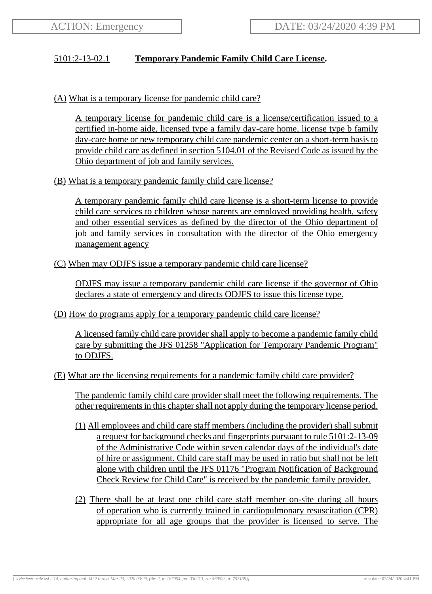# 5101:2-13-02.1 **Temporary Pandemic Family Child Care License.**

(A) What is a temporary license for pandemic child care?

A temporary license for pandemic child care is a license/certification issued to a certified in-home aide, licensed type a family day-care home, license type b family day-care home or new temporary child care pandemic center on a short-term basis to provide child care as defined in section 5104.01 of the Revised Code as issued by the Ohio department of job and family services.

(B) What is a temporary pandemic family child care license?

A temporary pandemic family child care license is a short-term license to provide child care services to children whose parents are employed providing health, safety and other essential services as defined by the director of the Ohio department of job and family services in consultation with the director of the Ohio emergency management agency

(C) When may ODJFS issue a temporary pandemic child care license?

ODJFS may issue a temporary pandemic child care license if the governor of Ohio declares a state of emergency and directs ODJFS to issue this license type.

(D) How do programs apply for a temporary pandemic child care license?

A licensed family child care provider shall apply to become a pandemic family child care by submitting the JFS 01258 "Application for Temporary Pandemic Program" to ODJFS.

(E) What are the licensing requirements for a pandemic family child care provider?

The pandemic family child care provider shall meet the following requirements. The other requirements in this chapter shall not apply during the temporary license period.

- (1) All employees and child care staff members (including the provider) shall submit a request for background checks and fingerprints pursuant to rule 5101:2-13-09 of the Administrative Code within seven calendar days of the individual's date of hire or assignment. Child care staff may be used in ratio but shall not be left alone with children until the JFS 01176 "Program Notification of Background Check Review for Child Care" is received by the pandemic family provider.
- (2) There shall be at least one child care staff member on-site during all hours of operation who is currently trained in cardiopulmonary resuscitation (CPR) appropriate for all age groups that the provider is licensed to serve. The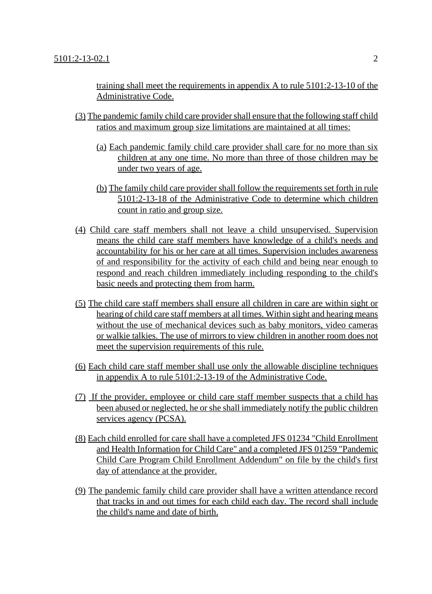training shall meet the requirements in appendix A to rule 5101:2-13-10 of the Administrative Code.

- (3) The pandemic family child care provider shall ensure that the following staff child ratios and maximum group size limitations are maintained at all times:
	- (a) Each pandemic family child care provider shall care for no more than six children at any one time. No more than three of those children may be under two years of age.
	- (b) The family child care provider shall follow the requirements set forth in rule 5101:2-13-18 of the Administrative Code to determine which children count in ratio and group size.
- (4) Child care staff members shall not leave a child unsupervised. Supervision means the child care staff members have knowledge of a child's needs and accountability for his or her care at all times. Supervision includes awareness of and responsibility for the activity of each child and being near enough to respond and reach children immediately including responding to the child's basic needs and protecting them from harm.
- (5) The child care staff members shall ensure all children in care are within sight or hearing of child care staff members at all times. Within sight and hearing means without the use of mechanical devices such as baby monitors, video cameras or walkie talkies. The use of mirrors to view children in another room does not meet the supervision requirements of this rule.
- (6) Each child care staff member shall use only the allowable discipline techniques in appendix A to rule 5101:2-13-19 of the Administrative Code.
- (7) If the provider, employee or child care staff member suspects that a child has been abused or neglected, he or she shall immediately notify the public children services agency (PCSA).
- (8) Each child enrolled for care shall have a completed JFS 01234 "Child Enrollment and Health Information for Child Care" and a completed JFS 01259 "Pandemic Child Care Program Child Enrollment Addendum" on file by the child's first day of attendance at the provider.
- (9) The pandemic family child care provider shall have a written attendance record that tracks in and out times for each child each day. The record shall include the child's name and date of birth.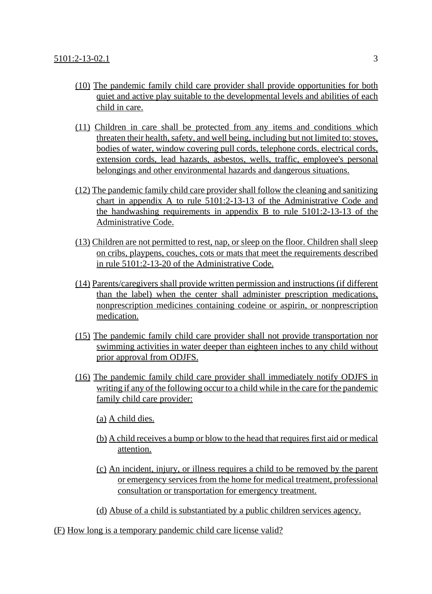- (10) The pandemic family child care provider shall provide opportunities for both quiet and active play suitable to the developmental levels and abilities of each child in care.
- (11) Children in care shall be protected from any items and conditions which threaten their health, safety, and well being, including but not limited to: stoves, bodies of water, window covering pull cords, telephone cords, electrical cords, extension cords, lead hazards, asbestos, wells, traffic, employee's personal belongings and other environmental hazards and dangerous situations.
- (12) The pandemic family child care provider shall follow the cleaning and sanitizing chart in appendix A to rule 5101:2-13-13 of the Administrative Code and the handwashing requirements in appendix B to rule 5101:2-13-13 of the Administrative Code.
- (13) Children are not permitted to rest, nap, or sleep on the floor. Children shall sleep on cribs, playpens, couches, cots or mats that meet the requirements described in rule 5101:2-13-20 of the Administrative Code.
- (14) Parents/caregivers shall provide written permission and instructions (if different than the label) when the center shall administer prescription medications, nonprescription medicines containing codeine or aspirin, or nonprescription medication.
- (15) The pandemic family child care provider shall not provide transportation nor swimming activities in water deeper than eighteen inches to any child without prior approval from ODJFS.
- (16) The pandemic family child care provider shall immediately notify ODJFS in writing if any of the following occur to a child while in the care for the pandemic family child care provider:
	- (a) A child dies.
	- (b) A child receives a bump or blow to the head that requires first aid or medical attention.
	- (c) An incident, injury, or illness requires a child to be removed by the parent or emergency services from the home for medical treatment, professional consultation or transportation for emergency treatment.
	- (d) Abuse of a child is substantiated by a public children services agency.
- (F) How long is a temporary pandemic child care license valid?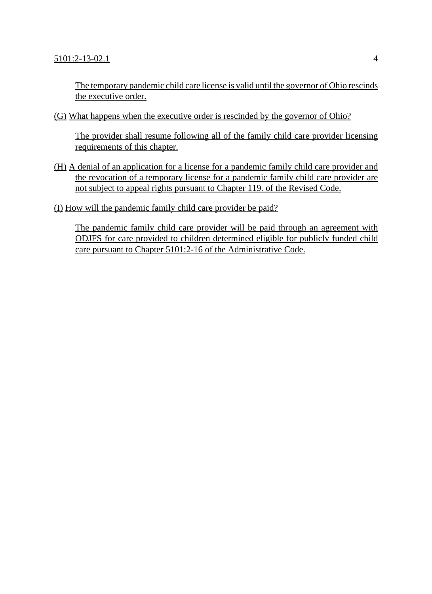The temporary pandemic child care license is valid until the governor of Ohio rescinds the executive order.

(G) What happens when the executive order is rescinded by the governor of Ohio?

The provider shall resume following all of the family child care provider licensing requirements of this chapter.

- (H) A denial of an application for a license for a pandemic family child care provider and the revocation of a temporary license for a pandemic family child care provider are not subject to appeal rights pursuant to Chapter 119. of the Revised Code.
- (I) How will the pandemic family child care provider be paid?

The pandemic family child care provider will be paid through an agreement with ODJFS for care provided to children determined eligible for publicly funded child care pursuant to Chapter 5101:2-16 of the Administrative Code.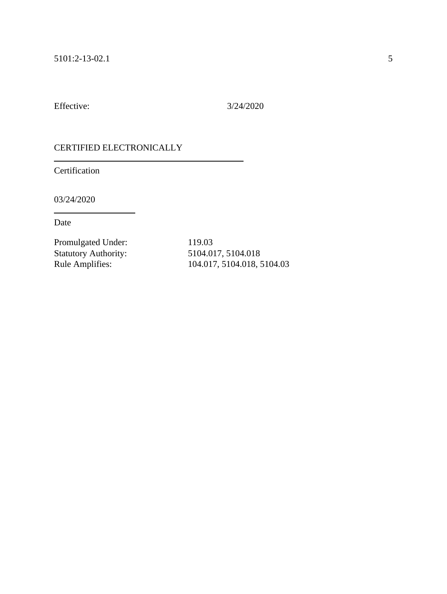Effective: 3/24/2020

#### CERTIFIED ELECTRONICALLY

Certification

03/24/2020

Date

Promulgated Under: 119.03 Statutory Authority: 5104.017, 5104.018<br>Rule Amplifies: 104.017, 5104.018, 5104.018

104.017, 5104.018, 5104.03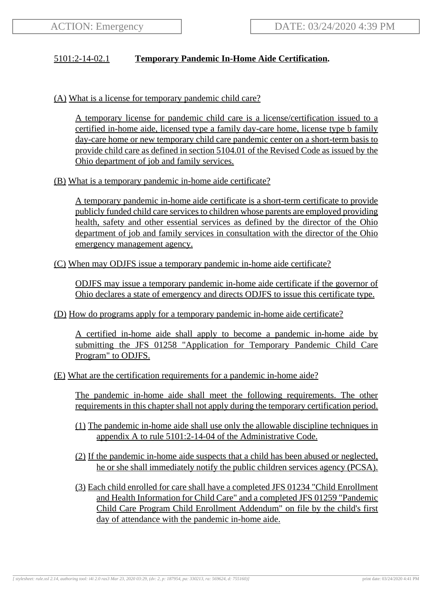# 5101:2-14-02.1 **Temporary Pandemic In-Home Aide Certification.**

(A) What is a license for temporary pandemic child care?

A temporary license for pandemic child care is a license/certification issued to a certified in-home aide, licensed type a family day-care home, license type b family day-care home or new temporary child care pandemic center on a short-term basis to provide child care as defined in section 5104.01 of the Revised Code as issued by the Ohio department of job and family services.

(B) What is a temporary pandemic in-home aide certificate?

A temporary pandemic in-home aide certificate is a short-term certificate to provide publicly funded child care services to children whose parents are employed providing health, safety and other essential services as defined by the director of the Ohio department of job and family services in consultation with the director of the Ohio emergency management agency.

(C) When may ODJFS issue a temporary pandemic in-home aide certificate?

ODJFS may issue a temporary pandemic in-home aide certificate if the governor of Ohio declares a state of emergency and directs ODJFS to issue this certificate type.

(D) How do programs apply for a temporary pandemic in-home aide certificate?

A certified in-home aide shall apply to become a pandemic in-home aide by submitting the JFS 01258 "Application for Temporary Pandemic Child Care Program" to ODJFS.

(E) What are the certification requirements for a pandemic in-home aide?

The pandemic in-home aide shall meet the following requirements. The other requirements in this chapter shall not apply during the temporary certification period.

- (1) The pandemic in-home aide shall use only the allowable discipline techniques in appendix A to rule 5101:2-14-04 of the Administrative Code.
- (2) If the pandemic in-home aide suspects that a child has been abused or neglected, he or she shall immediately notify the public children services agency (PCSA).
- (3) Each child enrolled for care shall have a completed JFS 01234 "Child Enrollment and Health Information for Child Care" and a completed JFS 01259 "Pandemic Child Care Program Child Enrollment Addendum" on file by the child's first day of attendance with the pandemic in-home aide.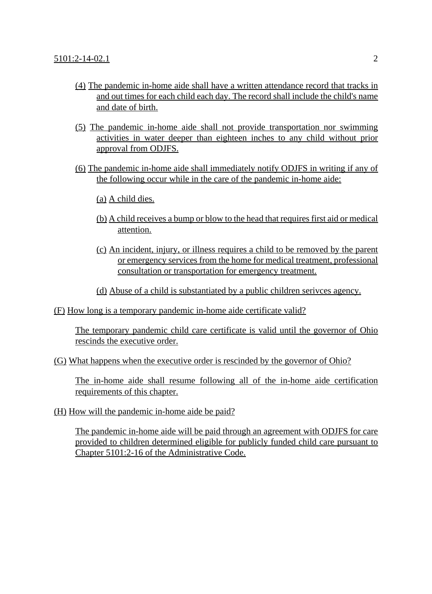- (4) The pandemic in-home aide shall have a written attendance record that tracks in and out times for each child each day. The record shall include the child's name and date of birth.
- (5) The pandemic in-home aide shall not provide transportation nor swimming activities in water deeper than eighteen inches to any child without prior approval from ODJFS.
- (6) The pandemic in-home aide shall immediately notify ODJFS in writing if any of the following occur while in the care of the pandemic in-home aide:
	- (a) A child dies.
	- (b) A child receives a bump or blow to the head that requires first aid or medical attention.
	- (c) An incident, injury, or illness requires a child to be removed by the parent or emergency services from the home for medical treatment, professional consultation or transportation for emergency treatment.
	- (d) Abuse of a child is substantiated by a public children serivces agency.
- (F) How long is a temporary pandemic in-home aide certificate valid?

The temporary pandemic child care certificate is valid until the governor of Ohio rescinds the executive order.

(G) What happens when the executive order is rescinded by the governor of Ohio?

The in-home aide shall resume following all of the in-home aide certification requirements of this chapter.

(H) How will the pandemic in-home aide be paid?

The pandemic in-home aide will be paid through an agreement with ODJFS for care provided to children determined eligible for publicly funded child care pursuant to Chapter 5101:2-16 of the Administrative Code.